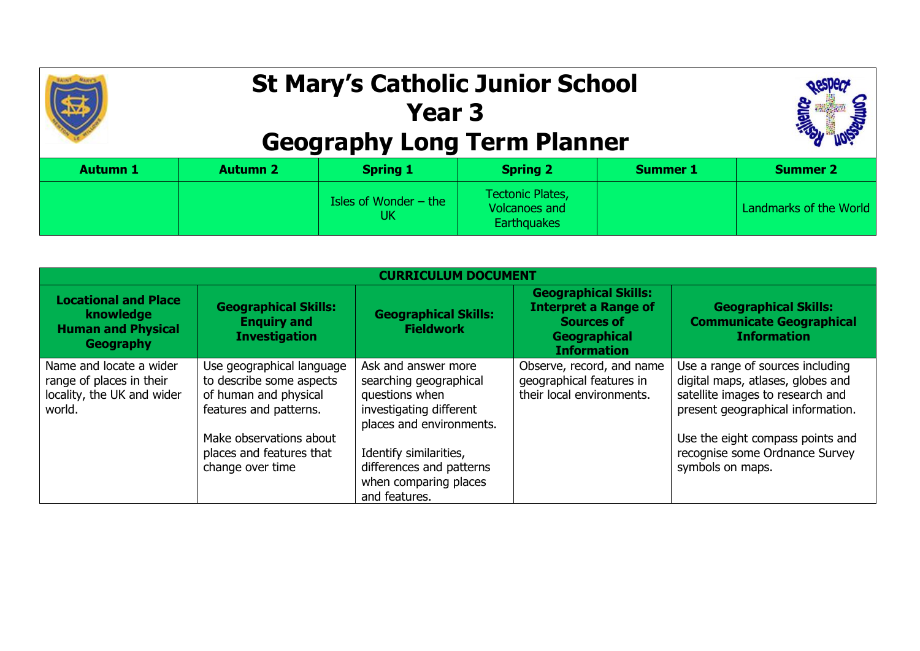

## **St Mary's Catholic Junior School Year 3 Geography Long Term Planner**



| <b>Autumn 1</b> | <b>Autumn 2</b> | <b>Spring 1</b>               | <b>Spring 2</b>                                                | <b>Summer 1</b> | <b>Summer 2</b>        |
|-----------------|-----------------|-------------------------------|----------------------------------------------------------------|-----------------|------------------------|
|                 |                 | Isles of Wonder $-$ the<br>UK | <b>Tectonic Plates,</b><br>Volcanoes and<br><b>Earthquakes</b> |                 | Landmarks of the World |

| <b>CURRICULUM DOCUMENT</b>                                                                  |                                                                                                                                                                                     |                                                                                                                                                                                                                        |                                                                                                                       |                                                                                                                                                                                                                                          |  |  |
|---------------------------------------------------------------------------------------------|-------------------------------------------------------------------------------------------------------------------------------------------------------------------------------------|------------------------------------------------------------------------------------------------------------------------------------------------------------------------------------------------------------------------|-----------------------------------------------------------------------------------------------------------------------|------------------------------------------------------------------------------------------------------------------------------------------------------------------------------------------------------------------------------------------|--|--|
| <b>Locational and Place</b><br>knowledge<br><b>Human and Physical</b><br>Geography          | <b>Geographical Skills:</b><br><b>Enguiry and</b><br><b>Investigation</b>                                                                                                           | <b>Geographical Skills:</b><br><b>Fieldwork</b>                                                                                                                                                                        | <b>Geographical Skills:</b><br><b>Interpret a Range of</b><br><b>Sources of</b><br>Geographical<br><b>Information</b> | <b>Geographical Skills:</b><br><b>Communicate Geographical</b><br><b>Information</b>                                                                                                                                                     |  |  |
| Name and locate a wider<br>range of places in their<br>locality, the UK and wider<br>world. | Use geographical language<br>to describe some aspects<br>of human and physical<br>features and patterns.<br>Make observations about<br>places and features that<br>change over time | Ask and answer more<br>searching geographical<br>questions when<br>investigating different<br>places and environments.<br>Identify similarities,<br>differences and patterns<br>when comparing places<br>and features. | Observe, record, and name<br>geographical features in<br>their local environments.                                    | Use a range of sources including<br>digital maps, atlases, globes and<br>satellite images to research and<br>present geographical information.<br>Use the eight compass points and<br>recognise some Ordnance Survey<br>symbols on maps. |  |  |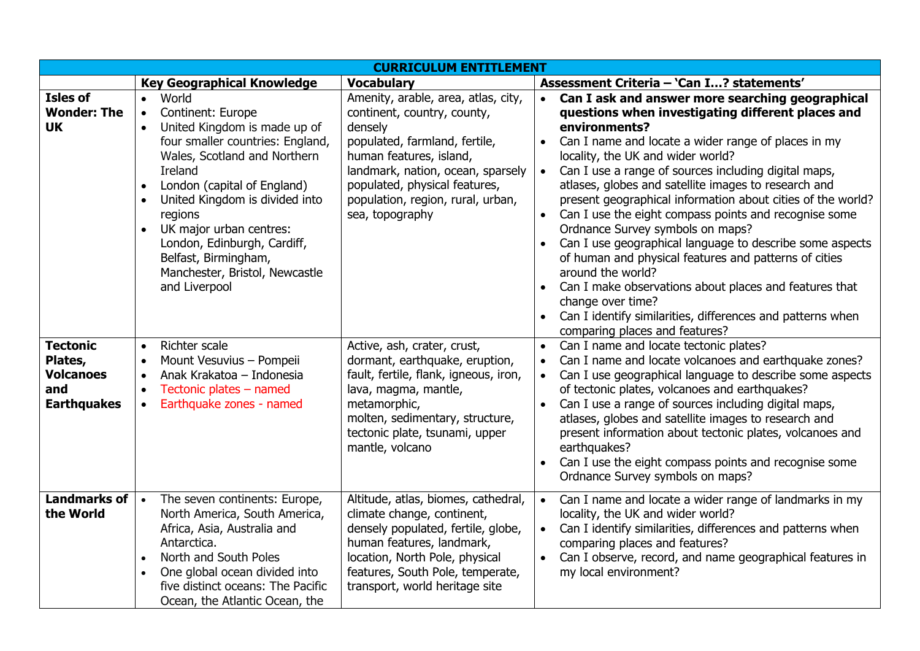| <b>CURRICULUM ENTITLEMENT</b>                                               |                                                                                                                                                                                                                                                                                                                                                                                                                                        |                                                                                                                                                                                                                                                                         |                                                                                                                                                                                                                                                                                                                                                                                                                                                                                                                                                                                                                                                                                                                                                                                                                                                   |  |  |
|-----------------------------------------------------------------------------|----------------------------------------------------------------------------------------------------------------------------------------------------------------------------------------------------------------------------------------------------------------------------------------------------------------------------------------------------------------------------------------------------------------------------------------|-------------------------------------------------------------------------------------------------------------------------------------------------------------------------------------------------------------------------------------------------------------------------|---------------------------------------------------------------------------------------------------------------------------------------------------------------------------------------------------------------------------------------------------------------------------------------------------------------------------------------------------------------------------------------------------------------------------------------------------------------------------------------------------------------------------------------------------------------------------------------------------------------------------------------------------------------------------------------------------------------------------------------------------------------------------------------------------------------------------------------------------|--|--|
|                                                                             | <b>Key Geographical Knowledge</b>                                                                                                                                                                                                                                                                                                                                                                                                      | <b>Vocabulary</b>                                                                                                                                                                                                                                                       | Assessment Criteria - 'Can I? statements'                                                                                                                                                                                                                                                                                                                                                                                                                                                                                                                                                                                                                                                                                                                                                                                                         |  |  |
| <b>Isles of</b><br><b>Wonder: The</b><br><b>UK</b>                          | World<br>$\bullet$<br>Continent: Europe<br>$\bullet$<br>United Kingdom is made up of<br>four smaller countries: England,<br>Wales, Scotland and Northern<br>Ireland<br>London (capital of England)<br>$\bullet$<br>United Kingdom is divided into<br>regions<br>UK major urban centres:<br>$\bullet$<br>London, Edinburgh, Cardiff,<br>Belfast, Birmingham,<br>Manchester, Bristol, Newcastle<br>and Liverpool<br><b>Richter scale</b> | Amenity, arable, area, atlas, city,<br>continent, country, county,<br>densely<br>populated, farmland, fertile,<br>human features, island,<br>landmark, nation, ocean, sparsely<br>populated, physical features,<br>population, region, rural, urban,<br>sea, topography | Can I ask and answer more searching geographical<br>$\bullet$<br>questions when investigating different places and<br>environments?<br>Can I name and locate a wider range of places in my<br>$\bullet$<br>locality, the UK and wider world?<br>Can I use a range of sources including digital maps,<br>atlases, globes and satellite images to research and<br>present geographical information about cities of the world?<br>Can I use the eight compass points and recognise some<br>Ordnance Survey symbols on maps?<br>Can I use geographical language to describe some aspects<br>of human and physical features and patterns of cities<br>around the world?<br>Can I make observations about places and features that<br>change over time?<br>Can I identify similarities, differences and patterns when<br>comparing places and features? |  |  |
| <b>Tectonic</b><br>Plates,<br><b>Volcanoes</b><br>and<br><b>Earthquakes</b> | $\bullet$<br>Mount Vesuvius - Pompeii<br>$\bullet$<br>Anak Krakatoa - Indonesia<br>Tectonic plates - named<br>$\bullet$<br>Earthquake zones - named                                                                                                                                                                                                                                                                                    | Active, ash, crater, crust,<br>dormant, earthquake, eruption,<br>fault, fertile, flank, igneous, iron,<br>lava, magma, mantle,<br>metamorphic,<br>molten, sedimentary, structure,<br>tectonic plate, tsunami, upper<br>mantle, volcano                                  | Can I name and locate tectonic plates?<br>$\bullet$<br>Can I name and locate volcanoes and earthquake zones?<br>Can I use geographical language to describe some aspects<br>of tectonic plates, volcanoes and earthquakes?<br>Can I use a range of sources including digital maps,<br>atlases, globes and satellite images to research and<br>present information about tectonic plates, volcanoes and<br>earthquakes?<br>Can I use the eight compass points and recognise some<br>Ordnance Survey symbols on maps?                                                                                                                                                                                                                                                                                                                               |  |  |
| <b>Landmarks of</b><br>the World                                            | The seven continents: Europe,<br>$\bullet$<br>North America, South America,<br>Africa, Asia, Australia and<br>Antarctica.<br>North and South Poles<br>$\bullet$<br>One global ocean divided into<br>$\bullet$<br>five distinct oceans: The Pacific<br>Ocean, the Atlantic Ocean, the                                                                                                                                                   | Altitude, atlas, biomes, cathedral,<br>climate change, continent,<br>densely populated, fertile, globe,<br>human features, landmark,<br>location, North Pole, physical<br>features, South Pole, temperate,<br>transport, world heritage site                            | Can I name and locate a wider range of landmarks in my<br>locality, the UK and wider world?<br>Can I identify similarities, differences and patterns when<br>comparing places and features?<br>Can I observe, record, and name geographical features in<br>my local environment?                                                                                                                                                                                                                                                                                                                                                                                                                                                                                                                                                                  |  |  |